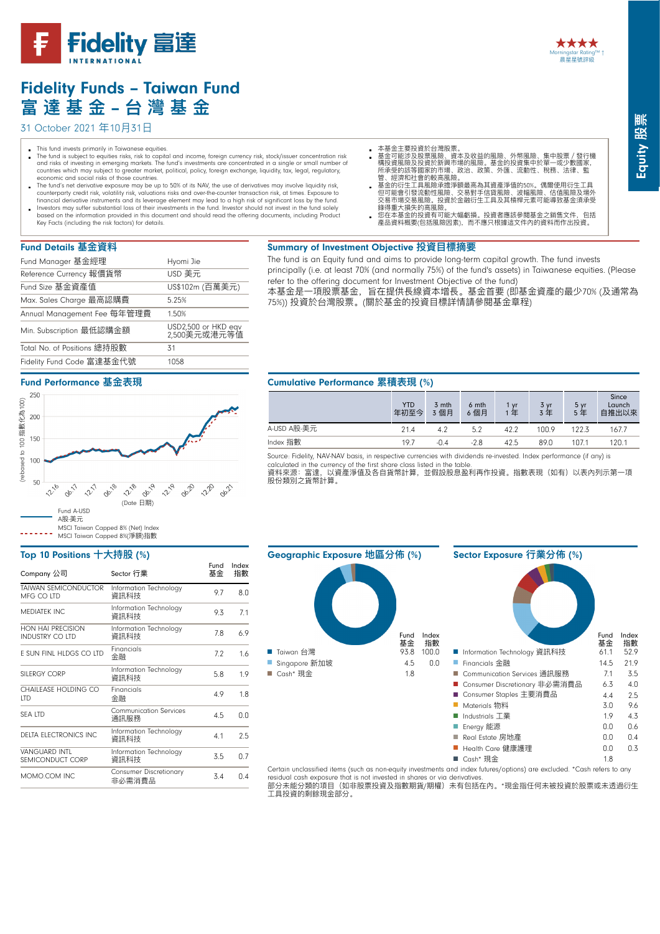



# Fidelity Funds – Taiwan Fund **富 達 基 ⾦金金** – **台 灣 基 ⾦金金**

## 31 October 2021 年10月31日

- This fund invests primarily in Taiwanese equities.
- The fund is subject to equities risks, risk to capital and income, foreign currency risk, stock/issuer concentration risk and risks of investing in emerging markets. The fund's investments are concentrated in a single or small number of<br>countries which may subject to greater market, political, policy, foreign exchange, liquidity, tax, legal, economic and social risks of those countries.
- The fund's net derivative exposure may be up to 50% of its NAV, the use of derivatives may involve liquidity risk,<br>counterparty credit risk, volatility risk, valuations risks and over-the-counter transaction risk, at times
- financial derivative instruments and its leverage element may lead to a high risk of significant loss by the fund.<br>Investors may suffer substantial loss of their investments in the fund. Investor should not invest in the f based on the information provided in this document and should read the offering documents, including Product Key Facts (including the risk factors) for details.
- 本基金主要投資於台灣股票
- $\overline{a}$ 基金可能涉及股票風險、資本及收益的風險、外幣風險、集中股票 / 發行機<br>構投資風險及投資於新興市場的風險。基金的投資集中於單一或少數國家,<br>所采受的該等國家的的意風險。<br>管、經濟和社會的較高風險。
- 基金的衍生工具風險承擔淨額最高為其資產淨值的50%。偶爾使用衍生工具<br>但可能會引發流動性風險、交易對手信貸風險、波幅風險、化值風險及場外受<br>交易市場交易風險。投資於金融衍生工具及其槓桿元素可能導致基金須承受 錄得重大損失的高風險。<br>您在本基金的投資有可能大幅虧損。投資者應該參閱基金之銷售文件,包括
- ◎產品資料概要(包括風險因素), 而不應只根據這文件內的資料而作出投資。

# Fund Details **基⾦金金資料料**

| Fund Manager 基金經理           | Hyomi Jie                           |
|-----------------------------|-------------------------------------|
| Reference Currency 報價貨幣     | USD 美元                              |
| Fund Size 基金資產值             | US\$102m (百萬美元)                     |
| Max. Sales Charge 最高認購費     | 5.25%                               |
| Annual Management Fee 每年管理費 | 1.50%                               |
| Min. Subscription 最低認購金額    | USD2,500 or HKD eqv<br>2,500美元或港元等值 |
| Total No. of Positions 總持股數 | 31                                  |
| Fidelity Fund Code 富達基金代號   | 1058                                |

#### Summary of Investment Objective **投資⽬目標摘要** The fund is an Equity fund and aims to provide long-term capital growth. The fund invests

principally (i.e. at least 70% (and normally 75%) of the fund's assets) in Taiwanese equities. (Please refer to the offering document for Investment Objective of the fund)

本基⾦金金是⼀一項股票基⾦金金,旨在提供⻑⾧長線資本增⻑⾧長。基⾦金金⾸首要 (即基⾦金金資產的最少70% (及通常為 75%)) 投資於台灣股票。(關於基金的投資目標詳情請參閱基金章程)

#### Cumulative Performance **累積表現** (%)

|             | <b>YTD</b><br>年初至今 | 3 mth<br>3 個月 | 6 mth<br>6個月 | 1 vr<br>年 | 3 yr<br>3年 | 5 yr<br>5年 | Since<br>Launch<br>自推出以來 |
|-------------|--------------------|---------------|--------------|-----------|------------|------------|--------------------------|
| A-USD A股-美元 | 21.4               | 4.2           | 5.2          | 42.2      | 100.9      | 122.3      | 167.7                    |
| Index 指數    | 19.7               | $-0.4$        | $-2.8$       | 42.5      | 89.0       | 107.1      | 120.1                    |

Source: Fidelity, NAV-NAV basis, in respective currencies with dividends re-invested. Index performance (if any) is calculated in the currency of the first share class listed in the table.<br>資料來源:富達,以資產淨值及各自貨幣計算,並假設股息盈利再作投資。指數表現(如有)以表內列示第一項 (<sub>このの</sub>・・・・・。<br>股份類別之貨幣計算。



Certain unclassified items (such as non-equity investments and index futures/options) are excluded. \*Cash refers to any

residual cash exposure that is not invested in shares or via derivatives.<br>部分未能分類的項目(如非股票投資及指數期貨/期權)未有包括在內。\*現金指任何未被投資於股票或未透過衍生 ⼯工具投資的剩餘現⾦金金部分。

# Fidelity Fund Code 富達基金代號 1058

#### Fund Performance **基⾦金金表現**



#### Top 10 Positions **⼗十⼤大持股** (%)

| Company 公司                                | Sector 行業                        | Fund<br>基金 | Index<br>指數 |
|-------------------------------------------|----------------------------------|------------|-------------|
| <b>TAIWAN SEMICONDUCTOR</b><br>MEG CO ITD | Information Technology<br>資訊科技   | 9.7        | 8.0         |
| <b>MEDIATEK INC</b>                       | Information Technology<br>資訊科技   | 9.3        | 7.1         |
| HON HAI PRECISION<br>INDUSTRY CO LTD      | Information Technology<br>資訊科技   | 7.8        | 6.9         |
| E SUN FINL HLDGS CO LTD                   | Financials<br>金融                 | 7.2        | 1.6         |
| SILFRGY CORP                              | Information Technology<br>資訊科技   | 5.8        | 1.9         |
| CHAILEASE HOLDING CO<br><b>ITD</b>        | Financials<br>金融                 | 4.9        | 1.8         |
| <b>SFA ITD</b>                            | Communication Services<br>通訊服務   | 4.5        | 0.0         |
| <b>DELTA ELECTRONICS INC</b>              | Information Technology<br>資訊科技   | 4.1        | 2.5         |
| VANGUARD INTI<br>SEMICONDUCT CORP         | Information Technology<br>資訊科技   | 3.5        | 0.7         |
| MOMO.COM INC                              | Consumer Discretionary<br>非必需消費品 | 3.4        | 0.4         |
|                                           |                                  |            |             |